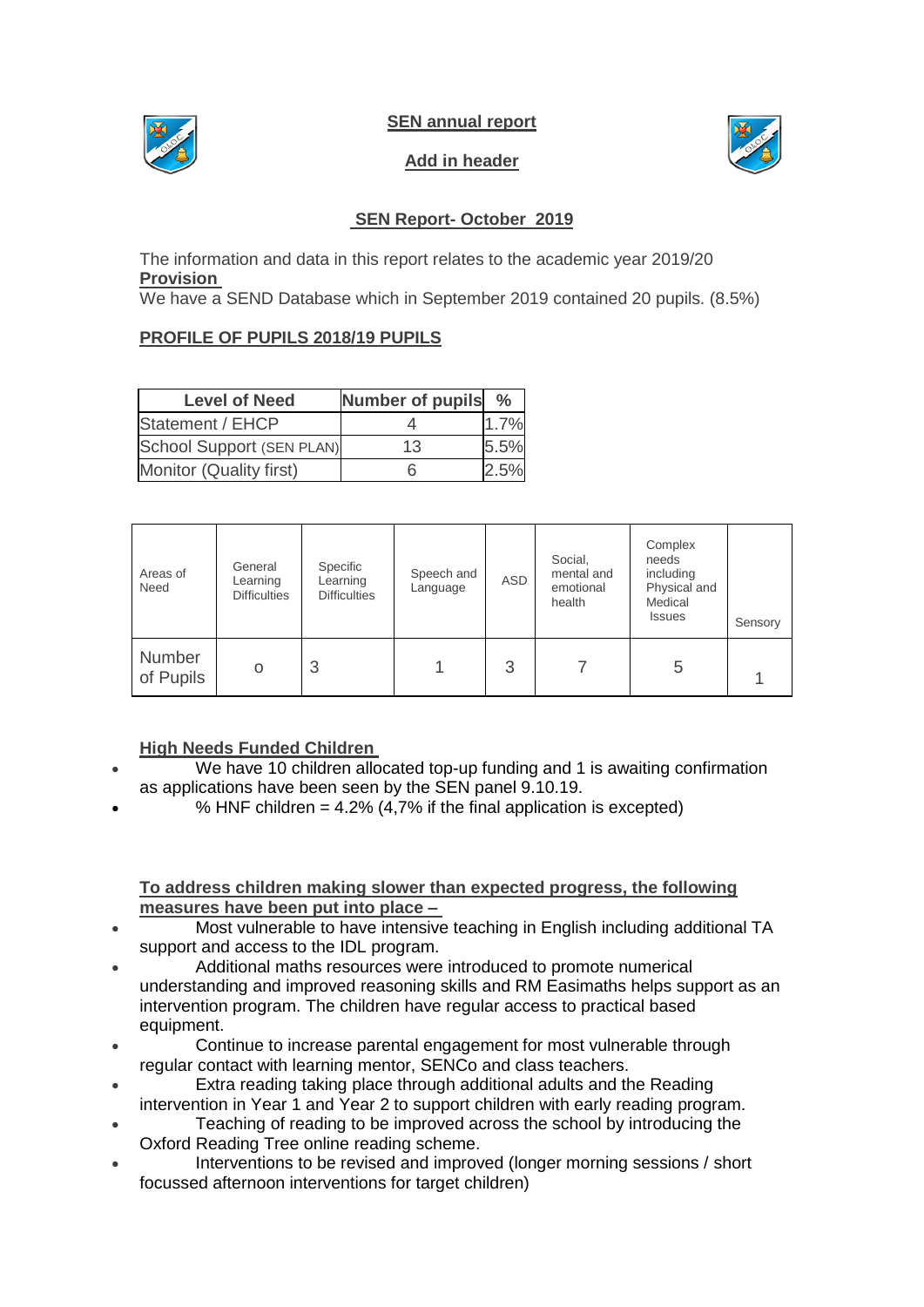

**SEN annual report** 

# **Add in header**



### **SEN Report- October 2019**

The information and data in this report relates to the academic year 2019/20 **Provision**

We have a SEND Database which in September 2019 contained 20 pupils. (8.5%)

### **PROFILE OF PUPILS 2018/19 PUPILS**

| <b>Level of Need</b>      | <b>Number of pupils</b> | $\frac{0}{0}$ |
|---------------------------|-------------------------|---------------|
| Statement / EHCP          |                         | 1.7%          |
| School Support (SEN PLAN) | 13                      | 5.5%          |
| Monitor (Quality first)   | 6                       | 2.5%          |

| Areas of<br>Need    | General<br>Learning<br><b>Difficulties</b> | Specific<br>Learning<br><b>Difficulties</b> | Speech and<br>Language | ASD | Social,<br>mental and<br>emotional<br>health | Complex<br>needs<br>including<br>Physical and<br>Medical<br><b>Issues</b> | Sensory |
|---------------------|--------------------------------------------|---------------------------------------------|------------------------|-----|----------------------------------------------|---------------------------------------------------------------------------|---------|
| Number<br>of Pupils | O                                          | 3                                           |                        | 3   |                                              | 5                                                                         |         |

#### **High Needs Funded Children**

- We have 10 children allocated top-up funding and 1 is awaiting confirmation as applications have been seen by the SEN panel 9.10.19.
- % HNF children =  $4.2\%$  (4,7% if the final application is excepted)

#### **To address children making slower than expected progress, the following measures have been put into place –**

- Most vulnerable to have intensive teaching in English including additional TA support and access to the IDL program.
- Additional maths resources were introduced to promote numerical understanding and improved reasoning skills and RM Easimaths helps support as an intervention program. The children have regular access to practical based equipment.
- Continue to increase parental engagement for most vulnerable through regular contact with learning mentor, SENCo and class teachers.
- Extra reading taking place through additional adults and the Reading intervention in Year 1 and Year 2 to support children with early reading program.
- Teaching of reading to be improved across the school by introducing the Oxford Reading Tree online reading scheme.
- Interventions to be revised and improved (longer morning sessions / short focussed afternoon interventions for target children)